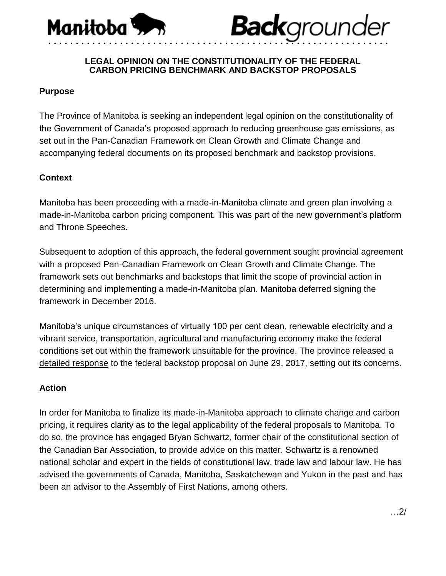

# **Back**grounder

### **LEGAL OPINION ON THE CONSTITUTIONALITY OF THE FEDERAL CARBON PRICING BENCHMARK AND BACKSTOP PROPOSALS**

• • • • • • • • • • • • • • • • • • • • • • • • • • • • • • • • • • • • • • • • • • • • • • • • • • • • • • • • • • • • • •

# **Purpose**

The Province of Manitoba is seeking an independent legal opinion on the constitutionality of the Government of Canada's proposed approach to reducing greenhouse gas emissions, as set out in the Pan-Canadian Framework on Clean Growth and Climate Change and accompanying federal documents on its proposed benchmark and backstop provisions.

## **Context**

Manitoba has been proceeding with a made-in-Manitoba climate and green plan involving a made-in-Manitoba carbon pricing component. This was part of the new government's platform and Throne Speeches.

Subsequent to adoption of this approach, the federal government sought provincial agreement with a proposed Pan-Canadian Framework on Clean Growth and Climate Change. The framework sets out benchmarks and backstops that limit the scope of provincial action in determining and implementing a made-in-Manitoba plan. Manitoba deferred signing the framework in December 2016.

Manitoba's unique circumstances of virtually 100 per cent clean, renewable electricity and a vibrant service, transportation, agricultural and manufacturing economy make the federal conditions set out within the framework unsuitable for the province. The province released a [detailed response](https://news.gov.mb.ca/news/index.html?item=41696&posted=2017-06-29) to the federal backstop proposal on June 29, 2017, setting out its concerns.

### **Action**

In order for Manitoba to finalize its made-in-Manitoba approach to climate change and carbon pricing, it requires clarity as to the legal applicability of the federal proposals to Manitoba. To do so, the province has engaged Bryan Schwartz, former chair of the constitutional section of the Canadian Bar Association, to provide advice on this matter. Schwartz is a renowned national scholar and expert in the fields of constitutional law, trade law and labour law. He has advised the governments of Canada, Manitoba, Saskatchewan and Yukon in the past and has been an advisor to the Assembly of First Nations, among others.